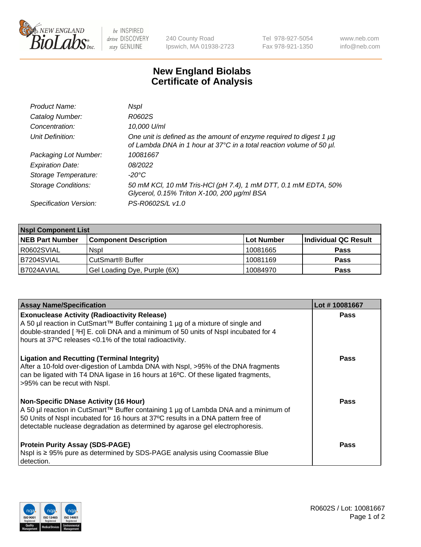

 $be$  INSPIRED drive DISCOVERY stay GENUINE

240 County Road Ipswich, MA 01938-2723 Tel 978-927-5054 Fax 978-921-1350 www.neb.com info@neb.com

## **New England Biolabs Certificate of Analysis**

| Product Name:              | Nspl                                                                                                                                             |
|----------------------------|--------------------------------------------------------------------------------------------------------------------------------------------------|
| Catalog Number:            | R0602S                                                                                                                                           |
| Concentration:             | 10,000 U/ml                                                                                                                                      |
| Unit Definition:           | One unit is defined as the amount of enzyme required to digest 1 $\mu$ g<br>of Lambda DNA in 1 hour at 37°C in a total reaction volume of 50 µl. |
| Packaging Lot Number:      | 10081667                                                                                                                                         |
| <b>Expiration Date:</b>    | 08/2022                                                                                                                                          |
| Storage Temperature:       | -20°C                                                                                                                                            |
| <b>Storage Conditions:</b> | 50 mM KCl, 10 mM Tris-HCl (pH 7.4), 1 mM DTT, 0.1 mM EDTA, 50%<br>Glycerol, 0.15% Triton X-100, 200 µg/ml BSA                                    |
| Specification Version:     | PS-R0602S/L v1.0                                                                                                                                 |

| <b>Nspl Component List</b> |                              |            |                      |  |  |
|----------------------------|------------------------------|------------|----------------------|--|--|
| <b>NEB Part Number</b>     | <b>Component Description</b> | Lot Number | Individual QC Result |  |  |
| R0602SVIAL                 | <b>Nspl</b>                  | 10081665   | <b>Pass</b>          |  |  |
| B7204SVIAL                 | CutSmart® Buffer             | 10081169   | <b>Pass</b>          |  |  |
| B7024AVIAL                 | Gel Loading Dye, Purple (6X) | 10084970   | <b>Pass</b>          |  |  |

| <b>Assay Name/Specification</b>                                                                                                                                                                                                                                                                            | Lot #10081667 |
|------------------------------------------------------------------------------------------------------------------------------------------------------------------------------------------------------------------------------------------------------------------------------------------------------------|---------------|
| <b>Exonuclease Activity (Radioactivity Release)</b><br>A 50 µl reaction in CutSmart™ Buffer containing 1 µg of a mixture of single and<br>double-stranded [3H] E. coli DNA and a minimum of 50 units of Nspl incubated for 4<br>hours at 37°C releases <0.1% of the total radioactivity.                   | <b>Pass</b>   |
| <b>Ligation and Recutting (Terminal Integrity)</b><br>After a 10-fold over-digestion of Lambda DNA with Nspl, >95% of the DNA fragments<br>can be ligated with T4 DNA ligase in 16 hours at 16 $\degree$ C. Of these ligated fragments,<br>>95% can be recut with Nspl.                                    | Pass          |
| <b>Non-Specific DNase Activity (16 Hour)</b><br>  A 50 µl reaction in CutSmart™ Buffer containing 1 µg of Lambda DNA and a minimum of<br>50 Units of Nspl incubated for 16 hours at 37°C results in a DNA pattern free of<br>detectable nuclease degradation as determined by agarose gel electrophoresis. | Pass          |
| <b>Protein Purity Assay (SDS-PAGE)</b><br>Nspl is ≥ 95% pure as determined by SDS-PAGE analysis using Coomassie Blue<br>l detection.                                                                                                                                                                       | Pass          |